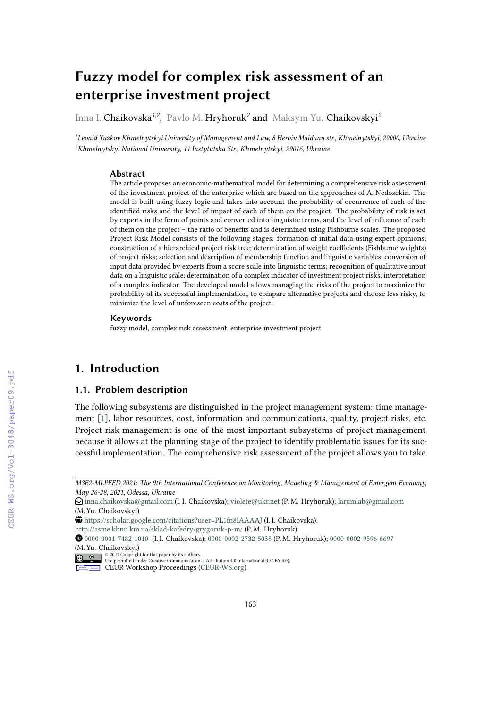# **Fuzzy model for complex risk assessment of an enterprise investment project**

Inna I. Chaikovska*1,2* , Pavlo M. Hryhoruk*<sup>2</sup>* and Maksym Yu. Chaikovskyi*<sup>2</sup>*

*<sup>1</sup>Leonid Yuzkov Khmelnytskyi University of Management and Law, 8 Heroiv Maidanu str., Khmelnytskyi, 29000, Ukraine <sup>2</sup>Khmelnytskyi National University, 11 Instytutska Str., Khmelnytskyi, 29016, Ukraine*

#### **Abstract**

The article proposes an economic-mathematical model for determining a comprehensive risk assessment of the investment project of the enterprise which are based on the approaches of A. Nedosekin. The model is built using fuzzy logic and takes into account the probability of occurrence of each of the identified risks and the level of impact of each of them on the project. The probability of risk is set by experts in the form of points and converted into linguistic terms, and the level of influence of each of them on the project – the ratio of benefits and is determined using Fishburne scales. The proposed Project Risk Model consists of the following stages: formation of initial data using expert opinions; construction of a hierarchical project risk tree; determination of weight coefficients (Fishburne weights) of project risks; selection and description of membership function and linguistic variables; conversion of input data provided by experts from a score scale into linguistic terms; recognition of qualitative input data on a linguistic scale; determination of a complex indicator of investment project risks; interpretation of a complex indicator. The developed model allows managing the risks of the project to maximize the probability of its successful implementation, to compare alternative projects and choose less risky, to minimize the level of unforeseen costs of the project.

#### **Keywords**

fuzzy model, complex risk assessment, enterprise investment project

## **1. Introduction**

#### **1.1. Problem description**

The following subsystems are distinguished in the project management system: time management [\[1\]](#page--1-0), labor resources, cost, information and communications, quality, project risks, etc. Project risk management is one of the most important subsystems of project management because it allows at the planning stage of the project to identify problematic issues for its successful implementation. The comprehensive risk assessment of the project allows you to take

GLOBE <https://scholar.google.com/citations?user=PL1fn8IAAAAJ> (I. I. Chaikovska);

*M3E2-MLPEED 2021: The 9th International Conference on Monitoring, Modeling & Management of Emergent Economy, May 26-28, 2021, Odessa, Ukraine*

Envelope-Open [inna.chaikovska@gmail.com](mailto:inna.chaikovska@gmail.com) (I. I. Chaikovska); [violete@ukr.net](mailto:violete@ukr.net) (P. M. Hryhoruk); [larumlab@gmail.com](mailto:larumlab@gmail.com) (M. Yu. Chaikovskyi)

<http://asme.khnu.km.ua/sklad-kafedry/grygoruk-p-m/> (P. M. Hryhoruk)

Orcid [0000-0001-7482-1010](https://orcid.org/ 0000-0001-7482-1010 ) (I. I. Chaikovska); [0000-0002-2732-5038](https://orcid.org/0000-0002-2732-5038) (P. M. Hryhoruk); [0000-0002-9596-6697](https://orcid.org/0000-0002-9596-6697) (M. Yu. Chaikovskyi)

<sup>© 2021</sup> Copyright for this paper by its authors. Use permitted under Creative Commons License Attribution 4.0 International (CC BY 4.0).

CEUR Workshop [Proceedings](http://ceur-ws.org) [\(CEUR-WS.org\)](http://ceur-ws.org)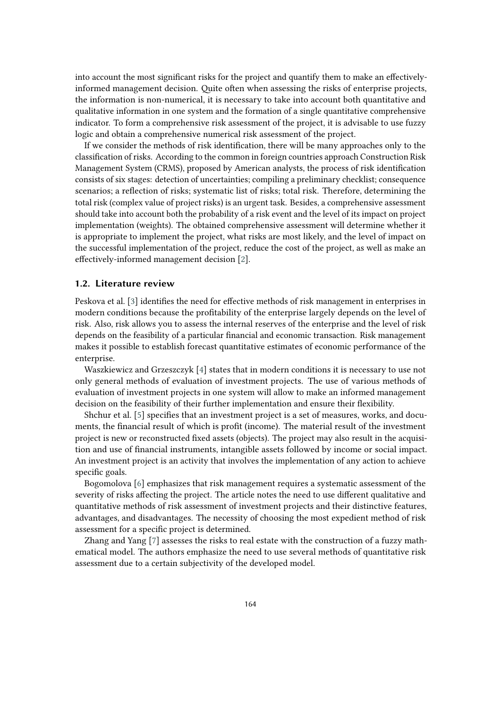into account the most significant risks for the project and quantify them to make an effectivelyinformed management decision. Quite often when assessing the risks of enterprise projects, the information is non-numerical, it is necessary to take into account both quantitative and qualitative information in one system and the formation of a single quantitative comprehensive indicator. To form a comprehensive risk assessment of the project, it is advisable to use fuzzy logic and obtain a comprehensive numerical risk assessment of the project.

If we consider the methods of risk identification, there will be many approaches only to the classification of risks. According to the common in foreign countries approach Construction Risk Management System (CRMS), proposed by American analysts, the process of risk identification consists of six stages: detection of uncertainties; compiling a preliminary checklist; consequence scenarios; a reflection of risks; systematic list of risks; total risk. Therefore, determining the total risk (complex value of project risks) is an urgent task. Besides, a comprehensive assessment should take into account both the probability of a risk event and the level of its impact on project implementation (weights). The obtained comprehensive assessment will determine whether it is appropriate to implement the project, what risks are most likely, and the level of impact on the successful implementation of the project, reduce the cost of the project, as well as make an effectively-informed management decision [\[2\]](#page-14-0).

### **1.2. Literature review**

Peskova et al. [\[3\]](#page-14-1) identifies the need for effective methods of risk management in enterprises in modern conditions because the profitability of the enterprise largely depends on the level of risk. Also, risk allows you to assess the internal reserves of the enterprise and the level of risk depends on the feasibility of a particular financial and economic transaction. Risk management makes it possible to establish forecast quantitative estimates of economic performance of the enterprise.

Waszkiewicz and Grzeszczyk [\[4\]](#page-14-2) states that in modern conditions it is necessary to use not only general methods of evaluation of investment projects. The use of various methods of evaluation of investment projects in one system will allow to make an informed management decision on the feasibility of their further implementation and ensure their flexibility.

Shchur et al. [\[5\]](#page-14-3) specifies that an investment project is a set of measures, works, and documents, the financial result of which is profit (income). The material result of the investment project is new or reconstructed fixed assets (objects). The project may also result in the acquisition and use of financial instruments, intangible assets followed by income or social impact. An investment project is an activity that involves the implementation of any action to achieve specific goals.

Bogomolova [\[6\]](#page-14-4) emphasizes that risk management requires a systematic assessment of the severity of risks affecting the project. The article notes the need to use different qualitative and quantitative methods of risk assessment of investment projects and their distinctive features, advantages, and disadvantages. The necessity of choosing the most expedient method of risk assessment for a specific project is determined.

Zhang and Yang [\[7\]](#page-14-5) assesses the risks to real estate with the construction of a fuzzy mathematical model. The authors emphasize the need to use several methods of quantitative risk assessment due to a certain subjectivity of the developed model.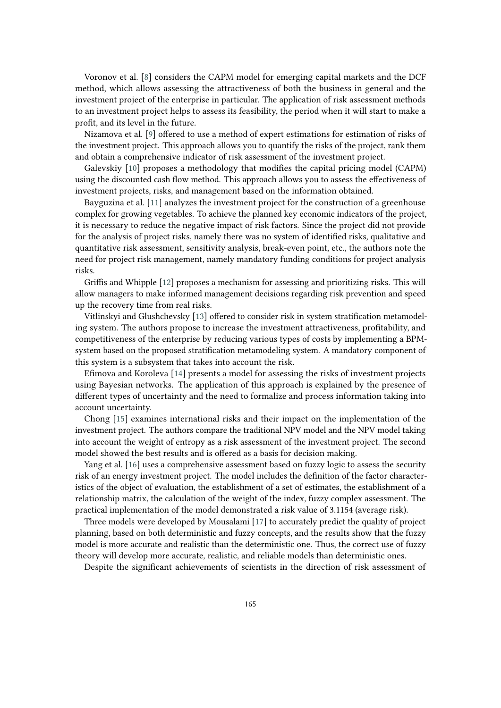Voronov et al. [\[8\]](#page-14-6) considers the CAPM model for emerging capital markets and the DCF method, which allows assessing the attractiveness of both the business in general and the investment project of the enterprise in particular. The application of risk assessment methods to an investment project helps to assess its feasibility, the period when it will start to make a profit, and its level in the future.

Nizamova et al. [\[9\]](#page-15-0) offered to use a method of expert estimations for estimation of risks of the investment project. This approach allows you to quantify the risks of the project, rank them and obtain a comprehensive indicator of risk assessment of the investment project.

Galevskiy [\[10\]](#page-15-1) proposes a methodology that modifies the capital pricing model (CAPM) using the discounted cash flow method. This approach allows you to assess the effectiveness of investment projects, risks, and management based on the information obtained.

Bayguzina et al. [\[11\]](#page-15-2) analyzes the investment project for the construction of a greenhouse complex for growing vegetables. To achieve the planned key economic indicators of the project, it is necessary to reduce the negative impact of risk factors. Since the project did not provide for the analysis of project risks, namely there was no system of identified risks, qualitative and quantitative risk assessment, sensitivity analysis, break-even point, etc., the authors note the need for project risk management, namely mandatory funding conditions for project analysis risks.

Griffis and Whipple [\[12\]](#page-15-3) proposes a mechanism for assessing and prioritizing risks. This will allow managers to make informed management decisions regarding risk prevention and speed up the recovery time from real risks.

Vitlinskyi and Glushchevsky [\[13\]](#page-15-4) offered to consider risk in system stratification metamodeling system. The authors propose to increase the investment attractiveness, profitability, and competitiveness of the enterprise by reducing various types of costs by implementing a BPMsystem based on the proposed stratification metamodeling system. A mandatory component of this system is a subsystem that takes into account the risk.

Efimova and Koroleva [\[14\]](#page-15-5) presents a model for assessing the risks of investment projects using Bayesian networks. The application of this approach is explained by the presence of different types of uncertainty and the need to formalize and process information taking into account uncertainty.

Chong [\[15\]](#page-15-6) examines international risks and their impact on the implementation of the investment project. The authors compare the traditional NPV model and the NPV model taking into account the weight of entropy as a risk assessment of the investment project. The second model showed the best results and is offered as a basis for decision making.

Yang et al. [\[16\]](#page-15-7) uses a comprehensive assessment based on fuzzy logic to assess the security risk of an energy investment project. The model includes the definition of the factor characteristics of the object of evaluation, the establishment of a set of estimates, the establishment of a relationship matrix, the calculation of the weight of the index, fuzzy complex assessment. The practical implementation of the model demonstrated a risk value of 3.1154 (average risk).

Three models were developed by Mousalami [\[17\]](#page-15-8) to accurately predict the quality of project planning, based on both deterministic and fuzzy concepts, and the results show that the fuzzy model is more accurate and realistic than the deterministic one. Thus, the correct use of fuzzy theory will develop more accurate, realistic, and reliable models than deterministic ones.

Despite the significant achievements of scientists in the direction of risk assessment of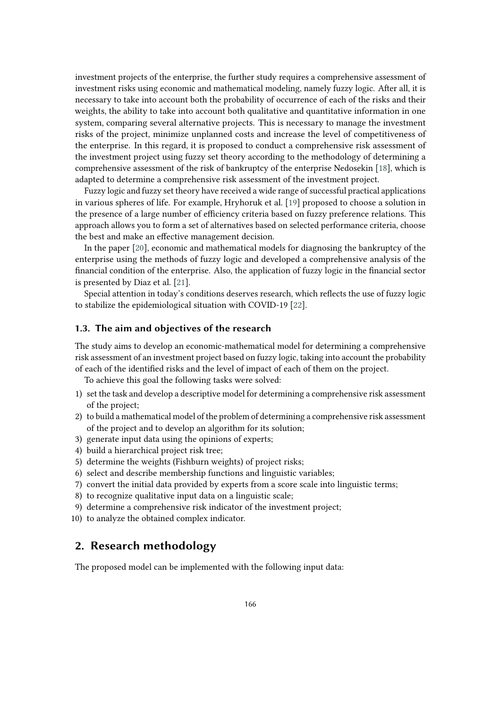investment projects of the enterprise, the further study requires a comprehensive assessment of investment risks using economic and mathematical modeling, namely fuzzy logic. After all, it is necessary to take into account both the probability of occurrence of each of the risks and their weights, the ability to take into account both qualitative and quantitative information in one system, comparing several alternative projects. This is necessary to manage the investment risks of the project, minimize unplanned costs and increase the level of competitiveness of the enterprise. In this regard, it is proposed to conduct a comprehensive risk assessment of the investment project using fuzzy set theory according to the methodology of determining a comprehensive assessment of the risk of bankruptcy of the enterprise Nedosekin [\[18\]](#page-15-9), which is adapted to determine a comprehensive risk assessment of the investment project.

Fuzzy logic and fuzzy set theory have received a wide range of successful practical applications in various spheres of life. For example, Hryhoruk et al. [\[19\]](#page-15-10) proposed to choose a solution in the presence of a large number of efficiency criteria based on fuzzy preference relations. This approach allows you to form a set of alternatives based on selected performance criteria, choose the best and make an effective management decision.

In the paper [\[20\]](#page-15-11), economic and mathematical models for diagnosing the bankruptcy of the enterprise using the methods of fuzzy logic and developed a comprehensive analysis of the financial condition of the enterprise. Also, the application of fuzzy logic in the financial sector is presented by Diaz et al. [\[21\]](#page-15-12).

Special attention in today's conditions deserves research, which reflects the use of fuzzy logic to stabilize the epidemiological situation with COVID-19 [\[22\]](#page-15-13).

### **1.3. The aim and objectives of the research**

The study aims to develop an economic-mathematical model for determining a comprehensive risk assessment of an investment project based on fuzzy logic, taking into account the probability of each of the identified risks and the level of impact of each of them on the project.

To achieve this goal the following tasks were solved:

- 1) set the task and develop a descriptive model for determining a comprehensive risk assessment of the project;
- 2) to build a mathematical model of the problem of determining a comprehensive risk assessment of the project and to develop an algorithm for its solution;
- 3) generate input data using the opinions of experts;
- 4) build a hierarchical project risk tree;
- 5) determine the weights (Fishburn weights) of project risks;
- 6) select and describe membership functions and linguistic variables;
- 7) convert the initial data provided by experts from a score scale into linguistic terms;
- 8) to recognize qualitative input data on a linguistic scale;
- 9) determine a comprehensive risk indicator of the investment project;
- 10) to analyze the obtained complex indicator.

# **2. Research methodology**

The proposed model can be implemented with the following input data: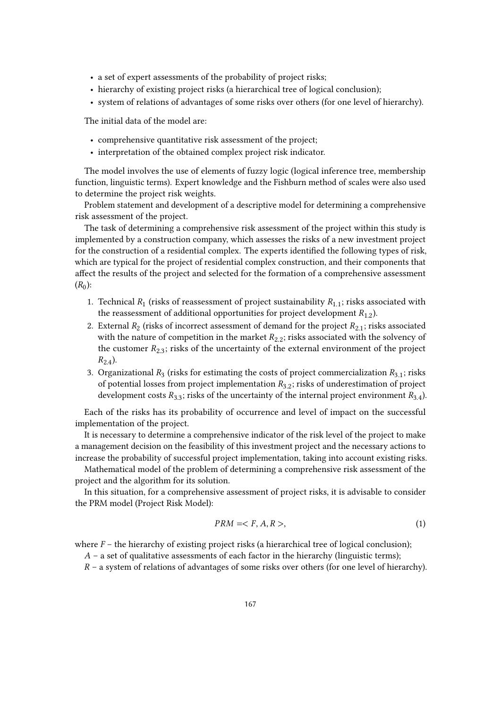- a set of expert assessments of the probability of project risks;
- hierarchy of existing project risks (a hierarchical tree of logical conclusion);
- system of relations of advantages of some risks over others (for one level of hierarchy).

The initial data of the model are:

- comprehensive quantitative risk assessment of the project;
- interpretation of the obtained complex project risk indicator.

The model involves the use of elements of fuzzy logic (logical inference tree, membership function, linguistic terms). Expert knowledge and the Fishburn method of scales were also used to determine the project risk weights.

Problem statement and development of a descriptive model for determining a comprehensive risk assessment of the project.

The task of determining a comprehensive risk assessment of the project within this study is implemented by a construction company, which assesses the risks of a new investment project for the construction of a residential complex. The experts identified the following types of risk, which are typical for the project of residential complex construction, and their components that affect the results of the project and selected for the formation of a comprehensive assessment  $(R_0)$ :

- 1. Technical  $R_1$  (risks of reassessment of project sustainability  $R_{1,1}$ ; risks associated with the reassessment of additional opportunities for project development  $R_{1,2}$ ).
- 2. External  $R_2$  (risks of incorrect assessment of demand for the project  $R_{2,1}$ ; risks associated with the nature of competition in the market  $R_{2,2}$ ; risks associated with the solvency of the customer  $R_{2,3}$ ; risks of the uncertainty of the external environment of the project  $R_{2.4}$ ).
- 3. Organizational  $R_3$  (risks for estimating the costs of project commercialization  $R_{3,1}$ ; risks of potential losses from project implementation  $R_{3,2}$ ; risks of underestimation of project development costs  $R_{3,3}$ ; risks of the uncertainty of the internal project environment  $R_{3,4}$ ).

Each of the risks has its probability of occurrence and level of impact on the successful implementation of the project.

It is necessary to determine a comprehensive indicator of the risk level of the project to make a management decision on the feasibility of this investment project and the necessary actions to increase the probability of successful project implementation, taking into account existing risks.

Mathematical model of the problem of determining a comprehensive risk assessment of the project and the algorithm for its solution.

In this situation, for a comprehensive assessment of project risks, it is advisable to consider the PRM model (Project Risk Model):

$$
PRM = \langle F, A, R \rangle, \tag{1}
$$

where  $F$  – the hierarchy of existing project risks (a hierarchical tree of logical conclusion);

 $A$  – a set of qualitative assessments of each factor in the hierarchy (linguistic terms);

 $R$  – a system of relations of advantages of some risks over others (for one level of hierarchy).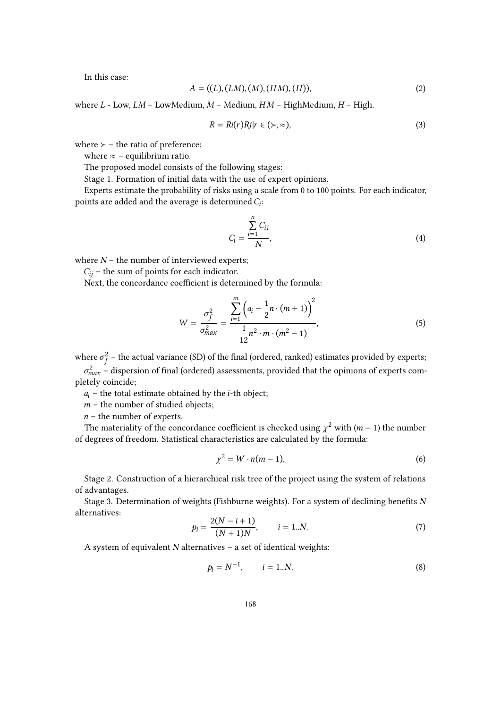In this case:

$$
A = ((L), (LM), (M), (HM), (H)),
$$
\n(2)

where  $L$  - Low,  $LM$  - LowMedium,  $M$  - Medium,  $HM$  - HighMedium,  $H$  - High.

$$
R = Ri(r)Rj|r \in (\succ, \approx), \tag{3}
$$

where  $\succ$  – the ratio of preference;

where  $\approx$  – equilibrium ratio.

The proposed model consists of the following stages:

Stage 1. Formation of initial data with the use of expert opinions.

Experts estimate the probability of risks using a scale from 0 to 100 points. For each indicator, points are added and the average is determined  $C_i$ :

$$
C_i = \frac{\sum\limits_{i=1}^{n} C_{ij}}{N},\tag{4}
$$

where  $N$  – the number of interviewed experts;

 $C_{ii}$  – the sum of points for each indicator.

Next, the concordance coefficient is determined by the formula:

$$
W = \frac{\sigma_f^2}{\sigma_{max}^2} = \frac{\sum_{i=1}^{m} \left( a_i - \frac{1}{2} n \cdot (m+1) \right)^2}{\frac{1}{12} n^2 \cdot m \cdot (m^2 - 1)},
$$
(5)

where  $\sigma_f^2$  – the actual variance (SD) of the final (ordered, ranked) estimates provided by experts;  $\sigma_{max}^2$  – dispersion of final (ordered) assessments, provided that the opinions of experts completely coincide;

 $a_i$  – the total estimate obtained by the *i*-th object;

 $m$  – the number of studied objects;

 $n$  – the number of experts.

The materiality of the concordance coefficient is checked using  $\chi^2$  with  $(m-1)$  the number of degrees of freedom. Statistical characteristics are calculated by the formula:

$$
\chi^2 = W \cdot n(m-1),\tag{6}
$$

Stage 2. Construction of a hierarchical risk tree of the project using the system of relations of advantages.

Stage 3. Determination of weights (Fishburne weights). For a system of declining benefits N alternatives:

$$
p_i = \frac{2(N - i + 1)}{(N + 1)N}, \qquad i = 1..N. \tag{7}
$$

A system of equivalent  $N$  alternatives – a set of identical weights:

$$
p_i = N^{-1}, \qquad i = 1..N. \tag{8}
$$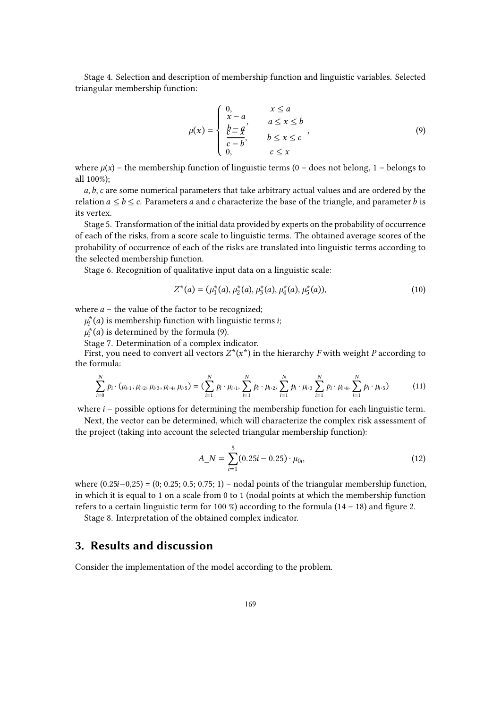Stage 4. Selection and description of membership function and linguistic variables. Selected triangular membership function:

$$
\mu(x) = \begin{cases}\n0, & x \le a \\
\frac{x-a}{b-a}, & a \le x \le b \\
\frac{c-b}{c}, & b \le x \le c\n\end{cases}
$$
\n(9)

where  $\mu(x)$  – the membership function of linguistic terms (0 – does not belong, 1 – belongs to all 100%);

 $a, b, c$  are some numerical parameters that take arbitrary actual values and are ordered by the relation  $a \le b \le c$ . Parameters a and c characterize the base of the triangle, and parameter b is its vertex.

Stage 5. Transformation of the initial data provided by experts on the probability of occurrence of each of the risks, from a score scale to linguistic terms. The obtained average scores of the probability of occurrence of each of the risks are translated into linguistic terms according to the selected membership function.

Stage 6. Recognition of qualitative input data on a linguistic scale:

$$
Z^*(a) = (\mu_1^*(a), \mu_2^*(a), \mu_3^*(a), \mu_4^*(a), \mu_5^*(a)),
$$
\n(10)

where  $a$  – the value of the factor to be recognized;

 $\mu_l^*(a)$  is membership function with linguistic terms *i*;

 $\mu_i^*(a)$  is determined by the formula (9).

Stage 7. Determination of a complex indicator.

First, you need to convert all vectors  $Z^*(x^*)$  in the hierarchy F with weight P according to the formula:

$$
\sum_{i=0}^{N} p_i \cdot (\mu_{i\cdot 1}, \mu_{i\cdot 2}, \mu_{i\cdot 3}, \mu_{i\cdot 4}, \mu_{i\cdot 5}) = (\sum_{i=1}^{N} p_i \cdot \mu_{i\cdot 1}, \sum_{i=1}^{N} p_i \cdot \mu_{i\cdot 2}, \sum_{i=1}^{N} p_i \cdot \mu_{i\cdot 3} \sum_{i=1}^{N} p_i \cdot \mu_{i\cdot 4}, \sum_{i=1}^{N} p_i \cdot \mu_{i\cdot 5})
$$
(11)

where  $i$  – possible options for determining the membership function for each linguistic term.

Next, the vector can be determined, which will characterize the complex risk assessment of the project (taking into account the selected triangular membership function):

$$
A_N = \sum_{i=1}^{5} (0.25i - 0.25) \cdot \mu_{0i}, \tag{12}
$$

where  $(0.25i-0.25) = (0, 0.25, 0.5, 0.75, 1)$  – nodal points of the triangular membership function, in which it is equal to 1 on a scale from 0 to 1 (nodal points at which the membership function refers to a certain linguistic term for 100 %) according to the formula  $(14 - 18)$  and figure 2.

Stage 8. Interpretation of the obtained complex indicator.

### **3. Results and discussion**

Consider the implementation of the model according to the problem.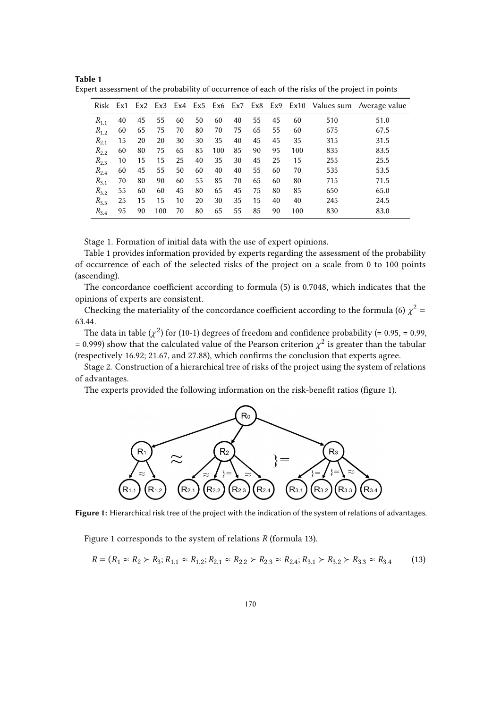| Risk      | Ex1 | Ex2 |     |    |    |     |    |    |    |     |     | Ex3 Ex4 Ex5 Ex6 Ex7 Ex8 Ex9 Ex10 Values sum Average value |
|-----------|-----|-----|-----|----|----|-----|----|----|----|-----|-----|-----------------------------------------------------------|
| $R_{1.1}$ | 40  | 45  | 55  | 60 | 50 | 60  | 40 | 55 | 45 | 60  | 510 | 51.0                                                      |
| $R_{1,2}$ | 60  | 65  | 75  | 70 | 80 | 70  | 75 | 65 | 55 | 60  | 675 | 67.5                                                      |
| $R_{2.1}$ | 15  | 20  | 20  | 30 | 30 | 35  | 40 | 45 | 45 | 35  | 315 | 31.5                                                      |
| $R_{22}$  | 60  | 80  | 75  | 65 | 85 | 100 | 85 | 90 | 95 | 100 | 835 | 83.5                                                      |
| $R_{2,3}$ | 10  | 15  | 15  | 25 | 40 | 35  | 30 | 45 | 25 | 15  | 255 | 25.5                                                      |
| $R_{2.4}$ | 60  | 45  | 55  | 50 | 60 | 40  | 40 | 55 | 60 | 70  | 535 | 53.5                                                      |
| $R_{3.1}$ | 70  | 80  | 90  | 60 | 55 | 85  | 70 | 65 | 60 | 80  | 715 | 71.5                                                      |
| $R_{3.2}$ | 55  | 60  | 60  | 45 | 80 | 65  | 45 | 75 | 80 | 85  | 650 | 65.0                                                      |
| $R_{3,3}$ | 25  | 15  | 15  | 10 | 20 | 30  | 35 | 15 | 40 | 40  | 245 | 24.5                                                      |
| $R_{3.4}$ | 95  | 90  | 100 | 70 | 80 | 65  | 55 | 85 | 90 | 100 | 830 | 83.0                                                      |

**Table 1** Expert assessment of the probability of occurrence of each of the risks of the project in points

Stage 1. Formation of initial data with the use of expert opinions.

Table 1 provides information provided by experts regarding the assessment of the probability of occurrence of each of the selected risks of the project on a scale from 0 to 100 points (ascending).

The concordance coefficient according to formula (5) is 0.7048, which indicates that the opinions of experts are consistent.

Checking the materiality of the concordance coefficient according to the formula (6)  $\chi^2$  = 63.44.

The data in table ( $\chi^2$ ) for (10-1) degrees of freedom and confidence probability (= 0.95, = 0.99, = 0.999) show that the calculated value of the Pearson criterion  $\chi^2$  is greater than the tabular (respectively 16.92; 21.67, and 27.88), which confirms the conclusion that experts agree.

Stage 2. Construction of a hierarchical tree of risks of the project using the system of relations of advantages.

The experts provided the following information on the risk-benefit ratios (figure 1).



**Figure 1:** Hierarchical risk tree of the project with the indication of the system of relations of advantages.

Figure 1 corresponds to the system of relations  $R$  (formula 13).

$$
R = (R_1 \approx R_2 \succ R_3; R_{1,1} \approx R_{1,2}; R_{2,1} \approx R_{2,2} \succ R_{2,3} \approx R_{2,4}; R_{3,1} \succ R_{3,2} \succ R_{3,3} \approx R_{3,4}
$$
(13)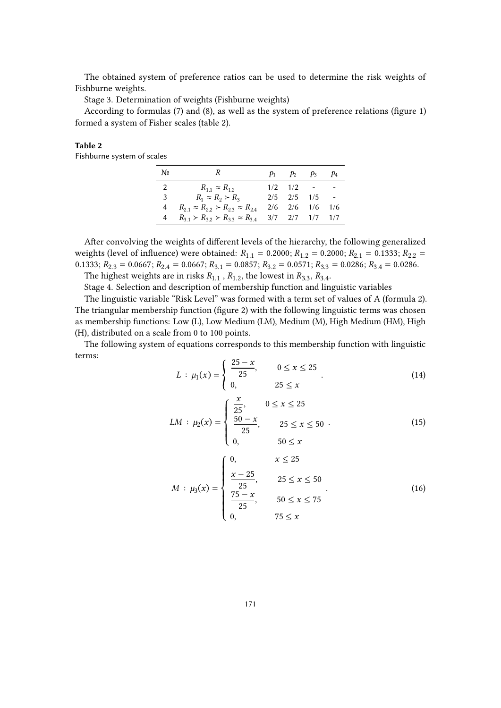The obtained system of preference ratios can be used to determine the risk weights of Fishburne weights.

Stage 3. Determination of weights (Fishburne weights)

According to formulas (7) and (8), as well as the system of preference relations (figure 1) formed a system of Fisher scales (table 2).

### **Table 2**

Fishburne system of scales

| $\mathcal{N}^{\mathcal{Q}}$ | R                                                       | $p_1$ $p_2$ $p_3$ $p_4$ |         |     |
|-----------------------------|---------------------------------------------------------|-------------------------|---------|-----|
| 2                           | $R_{1,1} \approx R_{1,2}$                               | $1/2$ $1/2$ -           |         |     |
| 3                           | $R_1 \approx R_2 \succ R_3$                             | $2/5$ $2/5$             | $1/5 -$ |     |
|                             | $R_{2,1} \approx R_{2,2} \succ R_{2,3} \approx R_{2,4}$ | $2/6$ $2/6$ $1/6$       |         | 1/6 |
|                             | 4 $R_{31} > R_{32} > R_{33} \approx R_{34}$             | $3/7$ $2/7$ $1/7$ $1/7$ |         |     |

After convolving the weights of different levels of the hierarchy, the following generalized weights (level of influence) were obtained:  $R_{1,1} = 0.2000; R_{1,2} = 0.2000; R_{2,1} = 0.1333; R_{2,2} =$ 0.1333;  $R_{2,3} = 0.0667$ ;  $R_{2,4} = 0.0667$ ;  $R_{3,1} = 0.0857$ ;  $R_{3,2} = 0.0571$ ;  $R_{3,3} = 0.0286$ ;  $R_{3,4} = 0.0286$ .

The highest weights are in risks  $R_{1,1}$ ,  $R_{1,2}$ , the lowest in  $R_{3,3}$ ,  $R_{3,4}$ .

Stage 4. Selection and description of membership function and linguistic variables

The linguistic variable "Risk Level" was formed with a term set of values of A (formula 2). The triangular membership function (figure 2) with the following linguistic terms was chosen as membership functions: Low (L), Low Medium (LM), Medium (M), High Medium (HM), High (H), distributed on a scale from 0 to 100 points.

The following system of equations corresponds to this membership function with linguistic terms:

$$
L: \mu_1(x) = \begin{cases} \frac{25 - x}{25}, & 0 \le x \le 25 \\ 0, & 25 \le x \end{cases}.
$$
 (14)

$$
LM: \mu_2(x) = \begin{cases} \frac{x}{25}, & 0 \le x \le 25\\ \frac{50 - x}{25}, & 25 \le x \le 50\\ 0, & 50 \le x \end{cases}
$$
(15)

$$
M: \mu_3(x) = \begin{cases} 0, & x \le 25 \\ \frac{x - 25}{25}, & 25 \le x \le 50 \\ \frac{75 - x}{25}, & 50 \le x \le 75 \\ 0, & 75 \le x \end{cases}
$$
(16)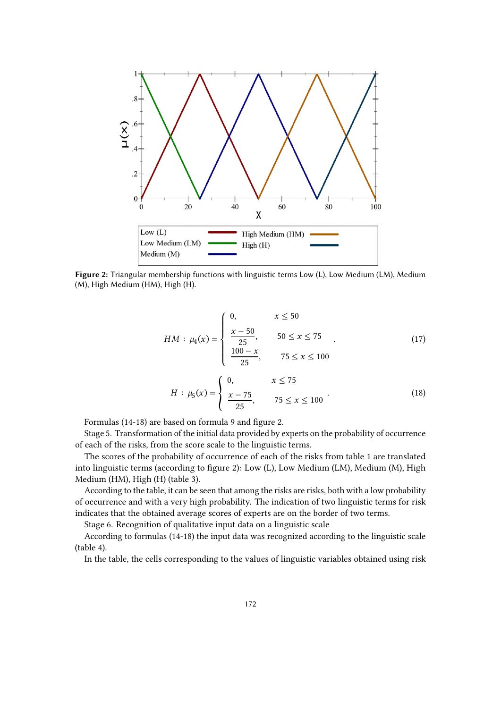

**Figure 2:** Triangular membership functions with linguistic terms Low (L), Low Medium (LM), Medium (M), High Medium (HM), High (H).

$$
HM: \mu_4(x) = \begin{cases} 0, & x \le 50 \\ \frac{x - 50}{25}, & 50 \le x \le 75 \\ \frac{100 - x}{25}, & 75 \le x \le 100 \end{cases}
$$
(17)

$$
H: \mu_5(x) = \begin{cases} 0, & x \le 75 \\ \frac{x - 75}{25}, & 75 \le x \le 100 \end{cases}
$$
 (18)

Formulas (14-18) are based on formula 9 and figure 2.

Stage 5. Transformation of the initial data provided by experts on the probability of occurrence of each of the risks, from the score scale to the linguistic terms.

The scores of the probability of occurrence of each of the risks from table 1 are translated into linguistic terms (according to figure 2): Low (L), Low Medium (LM), Medium (M), High Medium (HM), High (H) (table 3).

According to the table, it can be seen that among the risks are risks, both with a low probability of occurrence and with a very high probability. The indication of two linguistic terms for risk indicates that the obtained average scores of experts are on the border of two terms.

Stage 6. Recognition of qualitative input data on a linguistic scale

According to formulas (14-18) the input data was recognized according to the linguistic scale (table 4).

In the table, the cells corresponding to the values of linguistic variables obtained using risk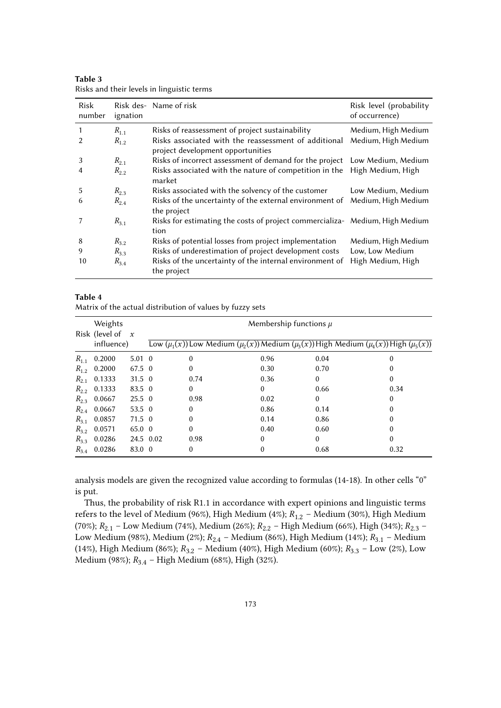| Risk<br>number | ignation  | Risk des- Name of risk                                                       | Risk level (probability<br>of occurrence) |
|----------------|-----------|------------------------------------------------------------------------------|-------------------------------------------|
| $\mathbf{1}$   | $R_{1.1}$ | Risks of reassessment of project sustainability                              | Medium, High Medium                       |
| $\mathcal{P}$  | $R_{1,2}$ | Risks associated with the reassessment of additional                         | Medium, High Medium                       |
|                |           | project development opportunities                                            |                                           |
| 3              | $R_{2.1}$ | Risks of incorrect assessment of demand for the project                      | Low Medium, Medium                        |
| 4              | $R_{2,2}$ | Risks associated with the nature of competition in the<br>market             | High Medium, High                         |
| 5              | $R_{2,3}$ | Risks associated with the solvency of the customer                           | Low Medium, Medium                        |
| 6              | $R_{2.4}$ | Risks of the uncertainty of the external environment of<br>the project       | Medium, High Medium                       |
|                | $R_{3.1}$ | Risks for estimating the costs of project commercializa- Medium, High Medium |                                           |
|                |           | tion                                                                         |                                           |
| 8              | $R_{3,2}$ | Risks of potential losses from project implementation                        | Medium, High Medium                       |
| 9              | $R_{3,3}$ | Risks of underestimation of project development costs                        | Low, Low Medium                           |
| 10             | $R_{3,4}$ | Risks of the uncertainty of the internal environment of<br>the project       | High Medium, High                         |

**Table 3** Risks and their levels in linguistic terms

#### **Table 4**

Matrix of the actual distribution of values by fuzzy sets

|           | Weights                          |                | Membership functions $\mu$ |              |          |                                                                                                         |          |  |  |
|-----------|----------------------------------|----------------|----------------------------|--------------|----------|---------------------------------------------------------------------------------------------------------|----------|--|--|
|           | Risk (level of $x$<br>influence) |                |                            |              |          | Low $(\mu_1(x))$ Low Medium $(\mu_2(x))$ Medium $(\mu_3(x))$ High Medium $(\mu_4(x))$ High $(\mu_5(x))$ |          |  |  |
| $R_{1.1}$ | 0.2000                           | $5.01 \quad 0$ |                            | $\theta$     | 0.96     | 0.04                                                                                                    | 0        |  |  |
| $R_{12}$  | 0.2000                           | 67.5 0         |                            | $\theta$     | 0.30     | 0.70                                                                                                    | 0        |  |  |
| $R_{2.1}$ | 0.1333                           | $31.5 \quad 0$ |                            | 0.74         | 0.36     | $\mathbf{0}$                                                                                            | 0        |  |  |
|           | $R_{2,2}$ 0.1333                 | 83.5 0         |                            | $\mathbf{0}$ | $\theta$ | 0.66                                                                                                    | 0.34     |  |  |
|           | $R_{2,3}$ 0.0667                 | $25.5 \quad 0$ |                            | 0.98         | 0.02     | $\theta$                                                                                                | $\theta$ |  |  |
|           | $R_{2.4}$ 0.0667                 | 53.5 0         |                            | 0            | 0.86     | 0.14                                                                                                    | 0        |  |  |
| $R_{3.1}$ | 0.0857                           | $71.5 \quad 0$ |                            | 0            | 0.14     | 0.86                                                                                                    | 0        |  |  |
|           | $R_{3,2}$ 0.0571                 | $65.0 \quad 0$ |                            | $\Omega$     | 0.40     | 0.60                                                                                                    | 0        |  |  |
| $R_{33}$  | 0.0286                           | 24.5 0.02      |                            | 0.98         | 0        | $\theta$                                                                                                | $\theta$ |  |  |
| $R_{3.4}$ | 0.0286                           | 83.0 0         |                            | 0            | 0        | 0.68                                                                                                    | 0.32     |  |  |

analysis models are given the recognized value according to formulas (14-18). In other cells "0" is put.

Thus, the probability of risk R1.1 in accordance with expert opinions and linguistic terms refers to the level of Medium (96%), High Medium (4%);  $R_{1.2}$  – Medium (30%), High Medium (70%);  $R_{2.1}$  – Low Medium (74%), Medium (26%);  $R_{2.2}$  – High Medium (66%), High (34%);  $R_{2.3}$  – Low Medium (98%), Medium (2%);  $R_{2.4}$  – Medium (86%), High Medium (14%);  $R_{3.1}$  – Medium (14%), High Medium (86%);  $R_{3.2}$  – Medium (40%), High Medium (60%);  $R_{3.3}$  – Low (2%), Low Medium (98%);  $R_{3,4}$  – High Medium (68%), High (32%).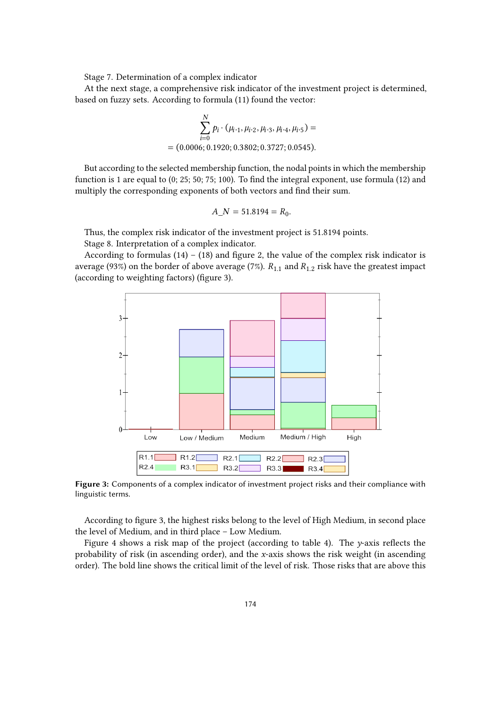Stage 7. Determination of a complex indicator

At the next stage, a comprehensive risk indicator of the investment project is determined, based on fuzzy sets. According to formula (11) found the vector:

$$
\sum_{i=0}^{N} p_i \cdot (\mu_{i \cdot 1}, \mu_{i \cdot 2}, \mu_{i \cdot 3}, \mu_{i \cdot 4}, \mu_{i \cdot 5}) =
$$
  
= (0.0006; 0.1920; 0.3802; 0.3727; 0.0545).

But according to the selected membership function, the nodal points in which the membership function is 1 are equal to (0; 25; 50; 75; 100). To find the integral exponent, use formula (12) and multiply the corresponding exponents of both vectors and find their sum.

$$
A_N = 51.8194 = R_0.
$$

Thus, the complex risk indicator of the investment project is 51.8194 points.

Stage 8. Interpretation of a complex indicator.

According to formulas  $(14) - (18)$  and figure 2, the value of the complex risk indicator is average (93%) on the border of above average (7%).  $R_{1,1}$  and  $R_{1,2}$  risk have the greatest impact (according to weighting factors) (figure 3).



**Figure 3:** Components of a complex indicator of investment project risks and their compliance with linguistic terms.

According to figure 3, the highest risks belong to the level of High Medium, in second place the level of Medium, and in third place – Low Medium.

Figure 4 shows a risk map of the project (according to table 4). The  $\gamma$ -axis reflects the probability of risk (in ascending order), and the  $x$ -axis shows the risk weight (in ascending order). The bold line shows the critical limit of the level of risk. Those risks that are above this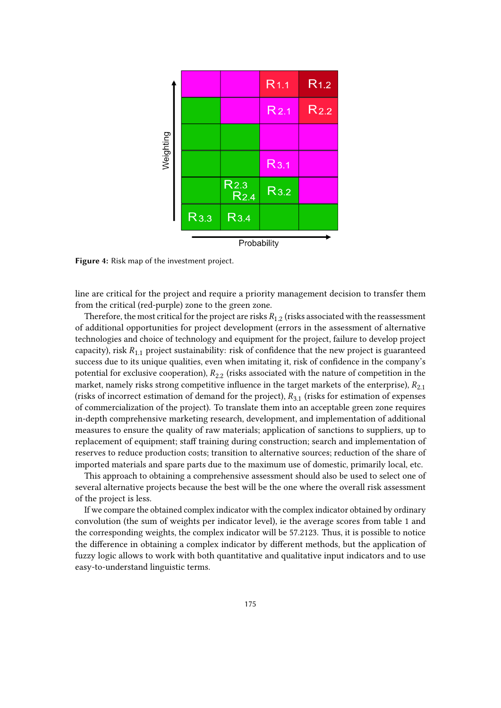

**Figure 4:** Risk map of the investment project.

line are critical for the project and require a priority management decision to transfer them from the critical (red-purple) zone to the green zone.

Therefore, the most critical for the project are risks  $R_{1,2}$  (risks associated with the reassessment of additional opportunities for project development (errors in the assessment of alternative technologies and choice of technology and equipment for the project, failure to develop project capacity), risk  $R_{11}$  project sustainability: risk of confidence that the new project is guaranteed success due to its unique qualities, even when imitating it, risk of confidence in the company's potential for exclusive cooperation),  $R_{2,2}$  (risks associated with the nature of competition in the market, namely risks strong competitive influence in the target markets of the enterprise),  $R_{2,1}$ (risks of incorrect estimation of demand for the project),  $R_{3,1}$  (risks for estimation of expenses of commercialization of the project). To translate them into an acceptable green zone requires in-depth comprehensive marketing research, development, and implementation of additional measures to ensure the quality of raw materials; application of sanctions to suppliers, up to replacement of equipment; staff training during construction; search and implementation of reserves to reduce production costs; transition to alternative sources; reduction of the share of imported materials and spare parts due to the maximum use of domestic, primarily local, etc.

This approach to obtaining a comprehensive assessment should also be used to select one of several alternative projects because the best will be the one where the overall risk assessment of the project is less.

If we compare the obtained complex indicator with the complex indicator obtained by ordinary convolution (the sum of weights per indicator level), ie the average scores from table 1 and the corresponding weights, the complex indicator will be 57.2123. Thus, it is possible to notice the difference in obtaining a complex indicator by different methods, but the application of fuzzy logic allows to work with both quantitative and qualitative input indicators and to use easy-to-understand linguistic terms.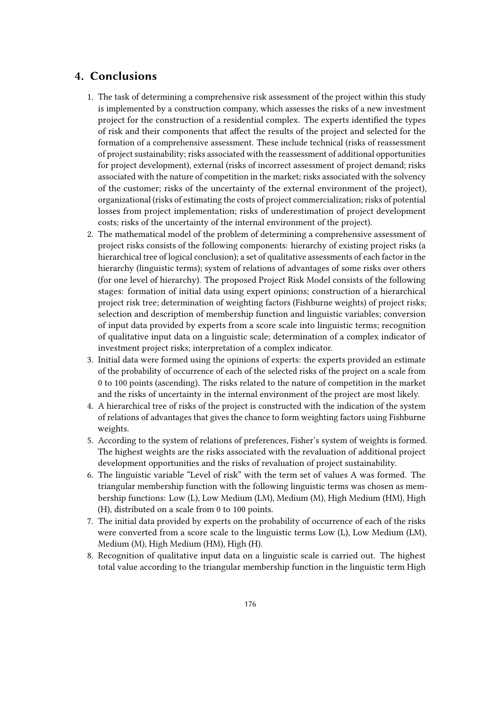## **4. Conclusions**

- 1. The task of determining a comprehensive risk assessment of the project within this study is implemented by a construction company, which assesses the risks of a new investment project for the construction of a residential complex. The experts identified the types of risk and their components that affect the results of the project and selected for the formation of a comprehensive assessment. These include technical (risks of reassessment of project sustainability; risks associated with the reassessment of additional opportunities for project development), external (risks of incorrect assessment of project demand; risks associated with the nature of competition in the market; risks associated with the solvency of the customer; risks of the uncertainty of the external environment of the project), organizational (risks of estimating the costs of project commercialization; risks of potential losses from project implementation; risks of underestimation of project development costs; risks of the uncertainty of the internal environment of the project).
- 2. The mathematical model of the problem of determining a comprehensive assessment of project risks consists of the following components: hierarchy of existing project risks (a hierarchical tree of logical conclusion); a set of qualitative assessments of each factor in the hierarchy (linguistic terms); system of relations of advantages of some risks over others (for one level of hierarchy). The proposed Project Risk Model consists of the following stages: formation of initial data using expert opinions; construction of a hierarchical project risk tree; determination of weighting factors (Fishburne weights) of project risks; selection and description of membership function and linguistic variables; conversion of input data provided by experts from a score scale into linguistic terms; recognition of qualitative input data on a linguistic scale; determination of a complex indicator of investment project risks; interpretation of a complex indicator.
- 3. Initial data were formed using the opinions of experts: the experts provided an estimate of the probability of occurrence of each of the selected risks of the project on a scale from 0 to 100 points (ascending). The risks related to the nature of competition in the market and the risks of uncertainty in the internal environment of the project are most likely.
- 4. A hierarchical tree of risks of the project is constructed with the indication of the system of relations of advantages that gives the chance to form weighting factors using Fishburne weights.
- 5. According to the system of relations of preferences, Fisher's system of weights is formed. The highest weights are the risks associated with the revaluation of additional project development opportunities and the risks of revaluation of project sustainability.
- 6. The linguistic variable "Level of risk" with the term set of values A was formed. The triangular membership function with the following linguistic terms was chosen as membership functions: Low (L), Low Medium (LM), Medium (M), High Medium (HM), High (H), distributed on a scale from 0 to 100 points.
- 7. The initial data provided by experts on the probability of occurrence of each of the risks were converted from a score scale to the linguistic terms Low (L), Low Medium (LM), Medium (M), High Medium (HM), High (H).
- 8. Recognition of qualitative input data on a linguistic scale is carried out. The highest total value according to the triangular membership function in the linguistic term High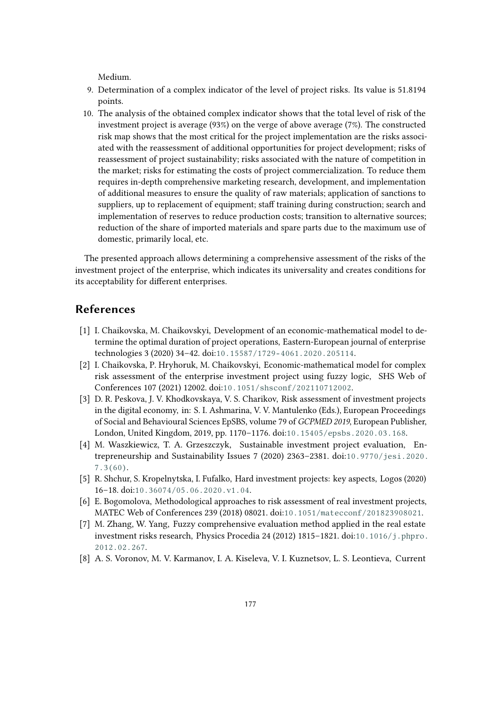Medium.

- 9. Determination of a complex indicator of the level of project risks. Its value is 51.8194 points.
- 10. The analysis of the obtained complex indicator shows that the total level of risk of the investment project is average (93%) on the verge of above average (7%). The constructed risk map shows that the most critical for the project implementation are the risks associated with the reassessment of additional opportunities for project development; risks of reassessment of project sustainability; risks associated with the nature of competition in the market; risks for estimating the costs of project commercialization. To reduce them requires in-depth comprehensive marketing research, development, and implementation of additional measures to ensure the quality of raw materials; application of sanctions to suppliers, up to replacement of equipment; staff training during construction; search and implementation of reserves to reduce production costs; transition to alternative sources; reduction of the share of imported materials and spare parts due to the maximum use of domestic, primarily local, etc.

The presented approach allows determining a comprehensive assessment of the risks of the investment project of the enterprise, which indicates its universality and creates conditions for its acceptability for different enterprises.

# **References**

- [1] I. Chaikovska, M. Chaikovskyi, Development of an economic-mathematical model to determine the optimal duration of project operations, Eastern-European journal of enterprise technologies 3 (2020) 34–42. doi:[10.15587/1729- 4061.2020.205114](http://dx.doi.org/10.15587/1729-4061.2020.205114).
- <span id="page-14-0"></span>[2] I. Chaikovska, P. Hryhoruk, M. Chaikovskyi, Economic-mathematical model for complex risk assessment of the enterprise investment project using fuzzy logic, SHS Web of Conferences 107 (2021) 12002. doi:[10.1051/shsconf/202110712002](http://dx.doi.org/10.1051/shsconf/202110712002).
- <span id="page-14-1"></span>[3] D. R. Peskova, J. V. Khodkovskaya, V. S. Charikov, Risk assessment of investment projects in the digital economy, in: S. I. Ashmarina, V. V. Mantulenko (Eds.), European Proceedings of Social and Behavioural Sciences EpSBS, volume 79 of *GCPMED 2019*, European Publisher, London, United Kingdom, 2019, pp. 1170–1176. doi:[10.15405/epsbs.2020.03.168](http://dx.doi.org/10.15405/epsbs.2020.03.168).
- <span id="page-14-2"></span>[4] M. Waszkiewicz, T. A. Grzeszczyk, Sustainable investment project evaluation, Entrepreneurship and Sustainability Issues 7 (2020) 2363–2381. doi:[10.9770/jesi.2020.](http://dx.doi.org/10.9770/jesi.2020.7.3(60)) [7.3\(60\)](http://dx.doi.org/10.9770/jesi.2020.7.3(60)).
- <span id="page-14-3"></span>[5] R. Shchur, S. Kropelnytska, I. Fufalko, Hard investment projects: key aspects, Logos (2020) 16–18. doi:[10.36074/05.06.2020.v1.04](http://dx.doi.org/10.36074/05.06.2020.v1.04).
- <span id="page-14-4"></span>[6] E. Bogomolova, Methodological approaches to risk assessment of real investment projects, MATEC Web of Conferences 239 (2018) 08021. doi:[10.1051/matecconf/201823908021](http://dx.doi.org/10.1051/matecconf/201823908021).
- <span id="page-14-5"></span>[7] M. Zhang, W. Yang, Fuzzy comprehensive evaluation method applied in the real estate investment risks research, Physics Procedia 24 (2012) 1815–1821. doi:[10.1016/j.phpro.](http://dx.doi.org/10.1016/j.phpro.2012.02.267) [2012.02.267](http://dx.doi.org/10.1016/j.phpro.2012.02.267).
- <span id="page-14-6"></span>[8] A. S. Voronov, M. V. Karmanov, I. A. Kiseleva, V. I. Kuznetsov, L. S. Leontieva, Current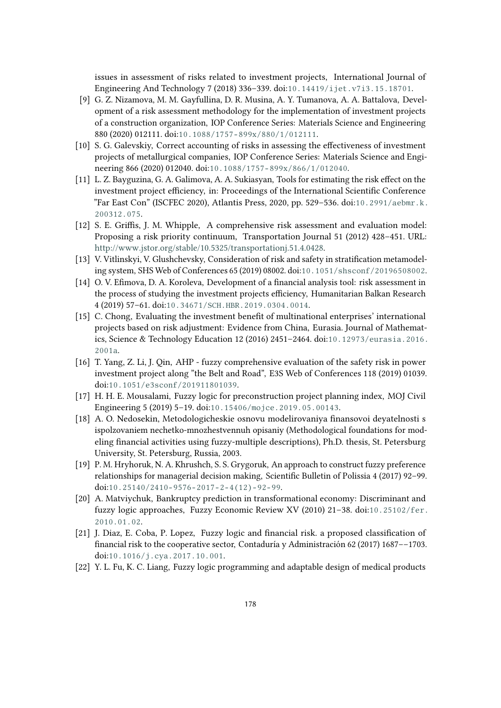issues in assessment of risks related to investment projects, International Journal of Engineering And Technology 7 (2018) 336–339. doi:[10.14419/ijet.v7i3.15.18701](http://dx.doi.org/10.14419/ijet.v7i3.15.18701).

- <span id="page-15-0"></span>[9] G. Z. Nizamova, M. M. Gayfullina, D. R. Musina, A. Y. Tumanova, A. A. Battalova, Development of a risk assessment methodology for the implementation of investment projects of a construction organization, IOP Conference Series: Materials Science and Engineering 880 (2020) 012111. doi:[10.1088/1757- 899x/880/1/012111](http://dx.doi.org/10.1088/1757-899x/880/1/012111).
- <span id="page-15-1"></span>[10] S. G. Galevskiy, Correct accounting of risks in assessing the effectiveness of investment projects of metallurgical companies, IOP Conference Series: Materials Science and Engineering 866 (2020) 012040. doi:[10.1088/1757- 899x/866/1/012040](http://dx.doi.org/10.1088/1757-899x/866/1/012040).
- <span id="page-15-2"></span>[11] L. Z. Bayguzina, G. A. Galimova, A. A. Sukiasyan, Tools for estimating the risk effect on the investment project efficiency, in: Proceedings of the International Scientific Conference "Far East Con" (ISCFEC 2020), Atlantis Press, 2020, pp. 529–536. doi:[10.2991/aebmr.k.](http://dx.doi.org/10.2991/aebmr.k.200312.075) [200312.075](http://dx.doi.org/10.2991/aebmr.k.200312.075).
- <span id="page-15-3"></span>[12] S. E. Griffis, J. M. Whipple, A comprehensive risk assessment and evaluation model: Proposing a risk priority continuum, Transportation Journal 51 (2012) 428–451. URL: [http://www.jstor.org/stable/10.5325/transportationj.51.4.0428.](http://www.jstor.org/stable/10.5325/transportationj.51.4.0428)
- <span id="page-15-4"></span>[13] V. Vitlinskyi, V. Glushchevsky, Consideration of risk and safety in stratification metamodeling system, SHS Web of Conferences 65 (2019) 08002. doi:[10.1051/shsconf/20196508002](http://dx.doi.org/10.1051/shsconf/20196508002).
- <span id="page-15-5"></span>[14] O. V. Efimova, D. A. Koroleva, Development of a financial analysis tool: risk assessment in the process of studying the investment projects efficiency, Humanitarian Balkan Research 4 (2019) 57–61. doi:[10.34671/SCH.HBR.2019.0304.0014](http://dx.doi.org/10.34671/SCH.HBR.2019.0304.0014).
- <span id="page-15-6"></span>[15] C. Chong, Evaluating the investment benefit of multinational enterprises' international projects based on risk adjustment: Evidence from China, Eurasia. Journal of Mathematics, Science & Technology Education 12 (2016) 2451–2464. doi:[10.12973/eurasia.2016.](http://dx.doi.org/10.12973/eurasia.2016.2001a) [2001a](http://dx.doi.org/10.12973/eurasia.2016.2001a).
- <span id="page-15-7"></span>[16] T. Yang, Z. Li, J. Qin, AHP - fuzzy comprehensive evaluation of the safety risk in power investment project along "the Belt and Road", E3S Web of Conferences 118 (2019) 01039. doi:[10.1051/e3sconf/201911801039](http://dx.doi.org/10.1051/e3sconf/201911801039).
- <span id="page-15-8"></span>[17] H. H. E. Mousalami, Fuzzy logic for preconstruction project planning index, MOJ Civil Engineering 5 (2019) 5–19. doi:[10.15406/mojce.2019.05.00143](http://dx.doi.org/10.15406/mojce.2019.05.00143).
- <span id="page-15-9"></span>[18] A. O. Nedosekin, Metodologicheskie osnovu modelirovaniya finansovoi deyatelnosti s ispolzovaniem nechetko-mnozhestvennuh opisaniy (Methodological foundations for modeling financial activities using fuzzy-multiple descriptions), Ph.D. thesis, St. Petersburg University, St. Petersburg, Russia, 2003.
- <span id="page-15-10"></span>[19] P. M. Hryhoruk, N. A. Khrushch, S. S. Grygoruk, An approach to construct fuzzy preference relationships for managerial decision making, Scientific Bulletin of Polissia 4 (2017) 92–99. doi:10.25140/2410-9576-2017-2-4(12)-92-99.
- <span id="page-15-11"></span>[20] A. Matviychuk, Bankruptcy prediction in transformational economy: Discriminant and fuzzy logic approaches, Fuzzy Economic Review XV (2010) 21–38. doi:[10.25102/fer.](http://dx.doi.org/10.25102/fer.2010.01.02) [2010.01.02](http://dx.doi.org/10.25102/fer.2010.01.02).
- <span id="page-15-12"></span>[21] J. Diaz, E. Coba, P. Lopez, Fuzzy logic and financial risk. a proposed classification of financial risk to the cooperative sector, Contaduría y Administración 62 (2017) 1687––1703. doi:[10.1016/j.cya.2017.10.001](http://dx.doi.org/10.1016/j.cya.2017.10.001).
- <span id="page-15-13"></span>[22] Y. L. Fu, K. C. Liang, Fuzzy logic programming and adaptable design of medical products